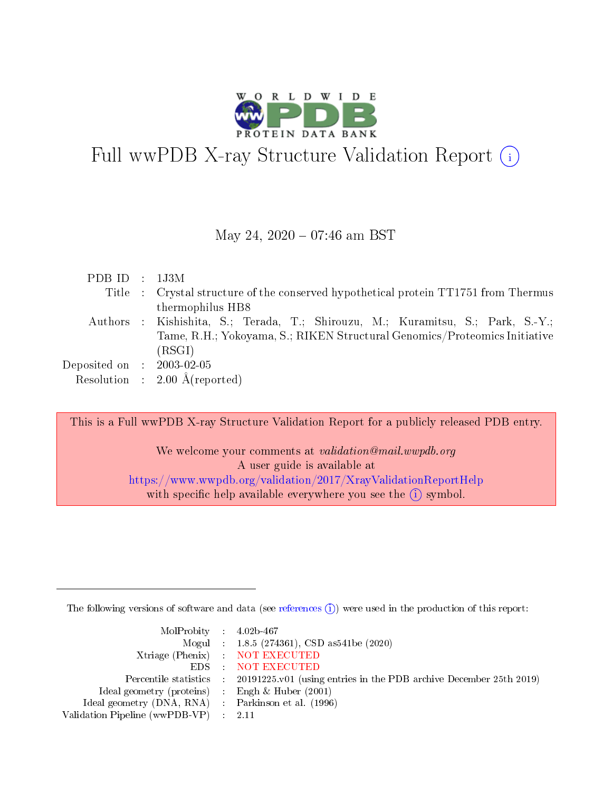

# Full wwPDB X-ray Structure Validation Report (i)

#### May 24, 2020 - 07:46 am BST

| PDB ID : $1J3M$             |                                                                                     |
|-----------------------------|-------------------------------------------------------------------------------------|
|                             | Title : Crystal structure of the conserved hypothetical protein TT1751 from Thermus |
|                             | thermophilus HB8                                                                    |
|                             | Authors : Kishishita, S.; Terada, T.; Shirouzu, M.; Kuramitsu, S.; Park, S.-Y.;     |
|                             | Tame, R.H.; Yokoyama, S.; RIKEN Structural Genomics/Proteomics Initiative           |
|                             | (RSGI)                                                                              |
| Deposited on : $2003-02-05$ |                                                                                     |
|                             | Resolution : $2.00 \text{ Å}$ (reported)                                            |

This is a Full wwPDB X-ray Structure Validation Report for a publicly released PDB entry.

We welcome your comments at validation@mail.wwpdb.org A user guide is available at <https://www.wwpdb.org/validation/2017/XrayValidationReportHelp> with specific help available everywhere you see the  $(i)$  symbol.

The following versions of software and data (see [references](https://www.wwpdb.org/validation/2017/XrayValidationReportHelp#references)  $(i)$ ) were used in the production of this report:

| $MolProbability$ 4.02b-467                          |                                                                                            |
|-----------------------------------------------------|--------------------------------------------------------------------------------------------|
|                                                     | Mogul : $1.8.5$ (274361), CSD as 541be (2020)                                              |
|                                                     | Xtriage (Phenix) NOT EXECUTED                                                              |
|                                                     | EDS NOT EXECUTED                                                                           |
|                                                     | Percentile statistics : 20191225.v01 (using entries in the PDB archive December 25th 2019) |
| Ideal geometry (proteins) : Engh $\&$ Huber (2001)  |                                                                                            |
| Ideal geometry (DNA, RNA) : Parkinson et al. (1996) |                                                                                            |
| Validation Pipeline (wwPDB-VP) : 2.11               |                                                                                            |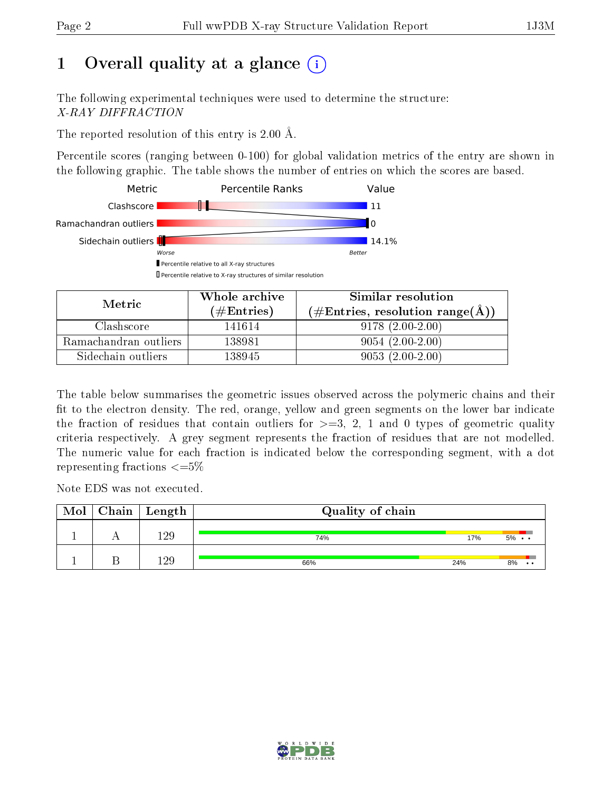## 1 [O](https://www.wwpdb.org/validation/2017/XrayValidationReportHelp#overall_quality)verall quality at a glance  $(i)$

The following experimental techniques were used to determine the structure: X-RAY DIFFRACTION

The reported resolution of this entry is 2.00 Å.

Percentile scores (ranging between 0-100) for global validation metrics of the entry are shown in the following graphic. The table shows the number of entries on which the scores are based.



| Metric                | Whole archive        | Similar resolution                                         |  |  |
|-----------------------|----------------------|------------------------------------------------------------|--|--|
|                       | $(\#\text{Entries})$ | $(\#\text{Entries}, \text{resolution range}(\text{\AA}) )$ |  |  |
| Clashscore            | 141614               | $9178(2.00-2.00)$                                          |  |  |
| Ramachandran outliers | 138981               | $9054(2.00-2.00)$                                          |  |  |
| Sidechain outliers    | 138945               | $9053(2.00-2.00)$                                          |  |  |

The table below summarises the geometric issues observed across the polymeric chains and their fit to the electron density. The red, orange, yellow and green segments on the lower bar indicate the fraction of residues that contain outliers for  $\geq=3$ , 2, 1 and 0 types of geometric quality criteria respectively. A grey segment represents the fraction of residues that are not modelled. The numeric value for each fraction is indicated below the corresponding segment, with a dot representing fractions  $\epsilon = 5\%$ 

Note EDS was not executed.

| Mol | $Chain \  Length$ | Quality of chain |     |       |  |  |  |  |
|-----|-------------------|------------------|-----|-------|--|--|--|--|
|     | 129               | 74%              | 17% | $5\%$ |  |  |  |  |
|     | 129               | 66%              | 24% | 8%    |  |  |  |  |

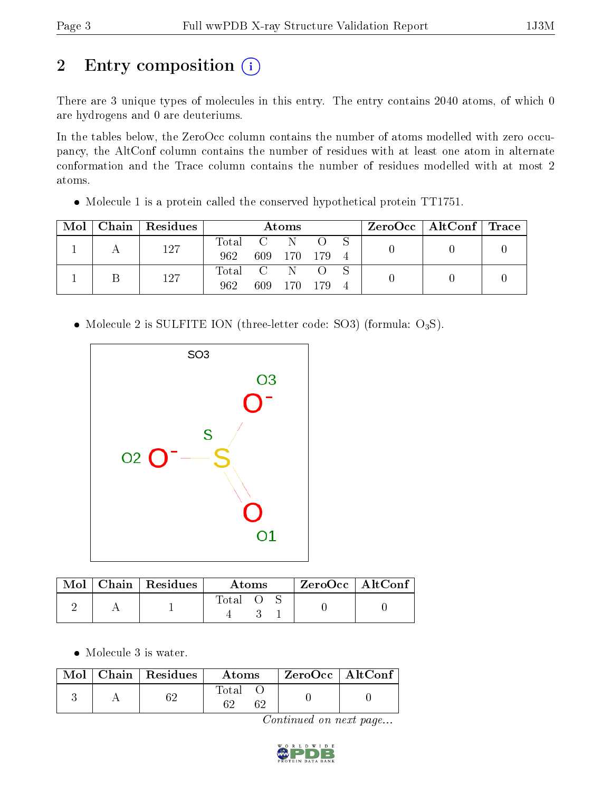# 2 Entry composition (i)

There are 3 unique types of molecules in this entry. The entry contains 2040 atoms, of which 0 are hydrogens and 0 are deuteriums.

In the tables below, the ZeroOcc column contains the number of atoms modelled with zero occupancy, the AltConf column contains the number of residues with at least one atom in alternate conformation and the Trace column contains the number of residues modelled with at most 2 atoms.

 $\bullet$  Molecule 1 is a protein called the conserved hypothetical protein TT1751.

|  |     | Mol   Chain   Residues | Atoms     |         |             |  |  | $\rm{ZeroOcc}$   $\rm{AltConf}$   $\rm{Trace}$ |  |
|--|-----|------------------------|-----------|---------|-------------|--|--|------------------------------------------------|--|
|  |     | 127                    | Total C N |         |             |  |  |                                                |  |
|  |     |                        | 962.      |         | 609 170 179 |  |  |                                                |  |
|  |     |                        | Total C N |         |             |  |  |                                                |  |
|  | 127 | 962                    |           | 609 170 | - 179       |  |  |                                                |  |

• Molecule 2 is SULFITE ION (three-letter code: SO3) (formula:  $O_3S$ ).



|  | $Mol$   Chain   Residues | Atoms   |  |  | $ZeroOcc$   AltConf |  |
|--|--------------------------|---------|--|--|---------------------|--|
|  |                          | Total O |  |  |                     |  |

• Molecule 3 is water.

|  | $\overline{\text{Mol}}$ Chain   Residues | <b>Atoms</b> | $\rm ZeroOcc$   Alt $\rm Conf$ |  |
|--|------------------------------------------|--------------|--------------------------------|--|
|  | ຂາ                                       | Total        |                                |  |

Continued on next page...

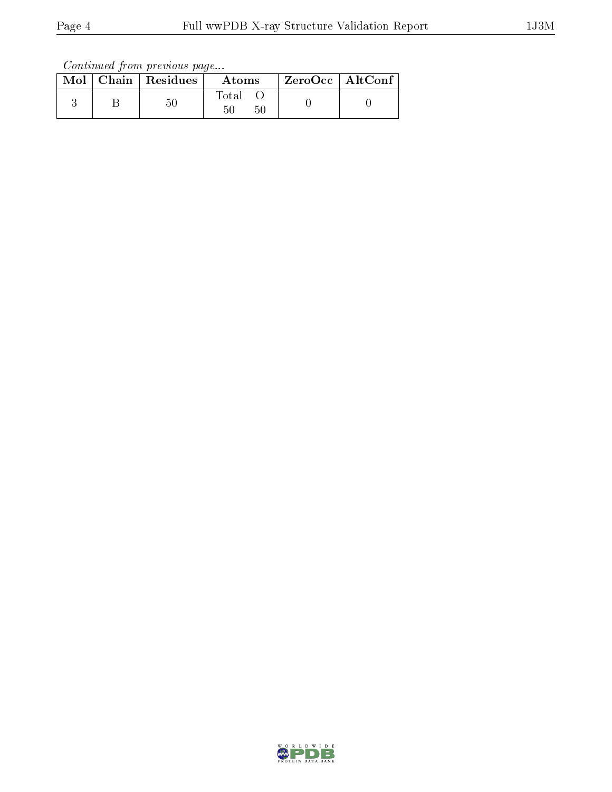Continued from previous page...

|  | $Mol$   Chain   Residues | Atoms                   | $\rm ZeroOcc \mid AltConf$ |  |
|--|--------------------------|-------------------------|----------------------------|--|
|  | 50                       | $\rm Total$<br>50<br>50 |                            |  |

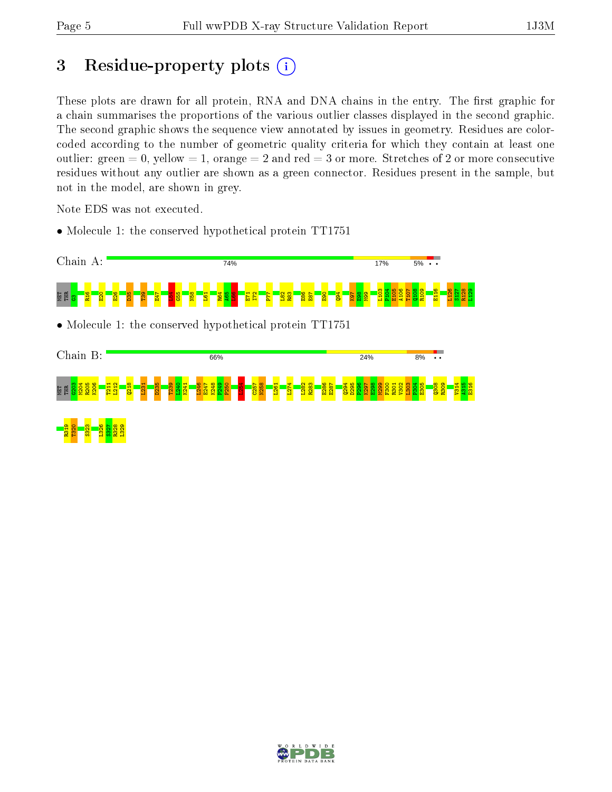## 3 Residue-property plots  $(i)$

These plots are drawn for all protein, RNA and DNA chains in the entry. The first graphic for a chain summarises the proportions of the various outlier classes displayed in the second graphic. The second graphic shows the sequence view annotated by issues in geometry. Residues are colorcoded according to the number of geometric quality criteria for which they contain at least one outlier: green  $= 0$ , yellow  $= 1$ , orange  $= 2$  and red  $= 3$  or more. Stretches of 2 or more consecutive residues without any outlier are shown as a green connector. Residues present in the sample, but not in the model, are shown in grey.

Note EDS was not executed.

• Molecule 1: the conserved hypothetical protein TT1751





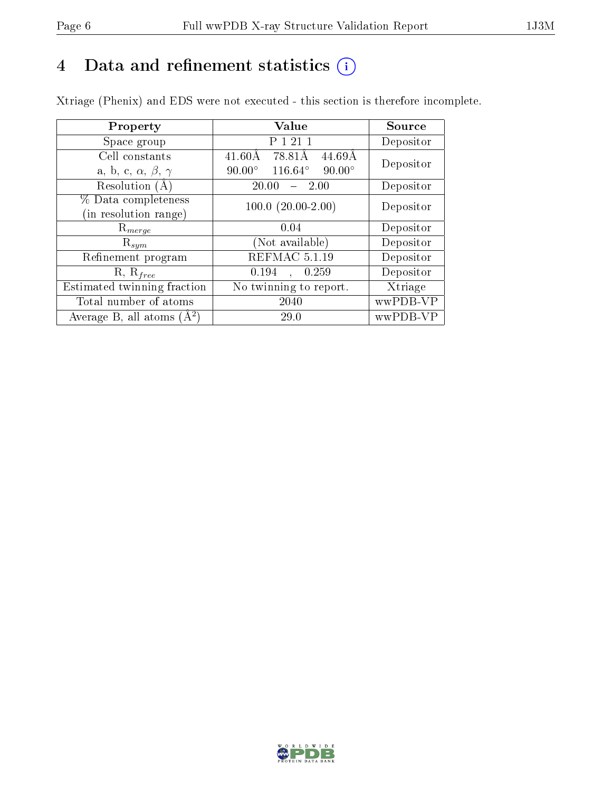## 4 Data and refinement statistics  $(i)$

Xtriage (Phenix) and EDS were not executed - this section is therefore incomplete.

| Property                               | Value                                     | Source    |  |
|----------------------------------------|-------------------------------------------|-----------|--|
| Space group                            | P 1 21 1                                  | Depositor |  |
| Cell constants                         | 78.81Å<br>$41.60\text{\AA}$<br>44.69Å     | Depositor |  |
| a, b, c, $\alpha$ , $\beta$ , $\gamma$ | 116.64°<br>$90.00^\circ$<br>$90.00^\circ$ |           |  |
| Resolution (A)                         | $-2.00$<br>20.00                          | Depositor |  |
| % Data completeness                    | $100.0 (20.00 - 2.00)$                    | Depositor |  |
| (in resolution range)                  |                                           |           |  |
| $\mathrm{R}_{merge}$                   | 0.04                                      | Depositor |  |
| $\mathrm{R}_{sym}$                     | (Not available)                           | Depositor |  |
| Refinement program                     | REFMAC 5.1.19                             | Depositor |  |
| $R, R_{free}$                          | 0.194<br>0.259                            | Depositor |  |
| Estimated twinning fraction            | No twinning to report.                    | Xtriage   |  |
| Total number of atoms                  | 2040                                      | wwPDB-VP  |  |
| Average B, all atoms $(A^2)$           | 29.0                                      | wwPDB-VP  |  |

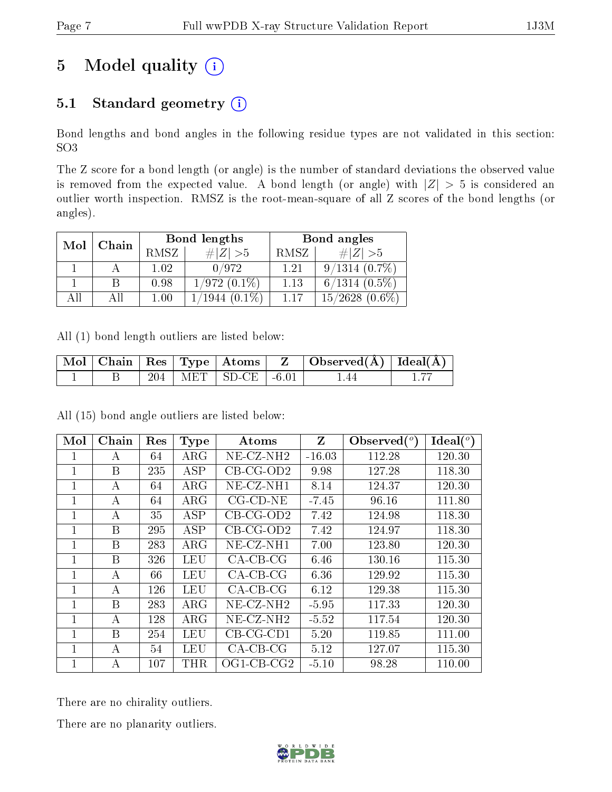## 5 Model quality  $(i)$

## 5.1 Standard geometry  $(i)$

Bond lengths and bond angles in the following residue types are not validated in this section: SO3

The Z score for a bond length (or angle) is the number of standard deviations the observed value is removed from the expected value. A bond length (or angle) with  $|Z| > 5$  is considered an outlier worth inspection. RMSZ is the root-mean-square of all Z scores of the bond lengths (or angles).

| Mol | Chain |      | Bond lengths   | Bond angles |                     |  |
|-----|-------|------|----------------|-------------|---------------------|--|
|     |       | RMSZ | $\# Z  > 5$    | RMSZ        | # $ Z  > 5$         |  |
|     |       | 1 02 | 0/972          | 1.21        | $9/1314(0.7\%)$     |  |
|     |       | 0.98 | $1/972(0.1\%)$ | 1.13        | $6/1314$ $(0.5\%)$  |  |
| All | Αll   | 1.00 | $1944(0.1\%)$  | 1 1 7       | $15/2628$ $(0.6\%)$ |  |

All (1) bond length outliers are listed below:

|  |     | $\parallel$ Mol $\parallel$ Chain $\parallel$ Res $\parallel$ Type $\parallel$ Atoms $\parallel$ | $\mid$ Observed( $\AA$ ) $\mid$ Ideal( $\AA$ ) $\mid$ |  |
|--|-----|--------------------------------------------------------------------------------------------------|-------------------------------------------------------|--|
|  | 204 | $MET$   SD-CE   -6.01                                                                            | .44                                                   |  |

All (15) bond angle outliers are listed below:

| Mol          | Chain | Res | <b>Type</b> | Atoms              | Z        | Observed $(^\circ)$ | Ideal (°) |
|--------------|-------|-----|-------------|--------------------|----------|---------------------|-----------|
| 1            | А     | 64  | $\rm{ARG}$  | $NE-CZ-NH2$        | $-16.03$ | 112.28              | 120.30    |
| 1            | B     | 235 | <b>ASP</b>  | $CB-CG-OD2$        | 9.98     | 127.28              | 118.30    |
| 1            | А     | 64  | $\rm{ARG}$  | $NE- CZ-NH1$       | 8.14     | 124.37              | 120.30    |
| 1            | А     | 64  | $\rm{ARG}$  | $CG$ - $CD$ - $NE$ | $-7.45$  | 96.16               | 111.80    |
| 1            | А     | 35  | <b>ASP</b>  | $CB-CG-OD2$        | 7.42     | 124.98              | 118.30    |
| 1            | B     | 295 | <b>ASP</b>  | $CB-CG-OD2$        | 7.42     | 124.97              | 118.30    |
| $\mathbf{1}$ | B     | 283 | $\rm{ARG}$  | $NE- CZ-NH1$       | 7.00     | 123.80              | 120.30    |
| 1            | B     | 326 | LEU         | $CA$ -CB-CG        | 6.46     | 130.16              | 115.30    |
| 1            | А     | 66  | LEU         | $CA$ -CB-CG        | 6.36     | 129.92              | 115.30    |
| 1            | А     | 126 | LEU         | $CA-CB-CG$         | 6.12     | 129.38              | 115.30    |
| 1            | B     | 283 | $\rm{ARG}$  | $NE-CZ-NH2$        | $-5.95$  | 117.33              | 120.30    |
| 1            | А     | 128 | $\rm{ARG}$  | NE-CZ-NH2          | $-5.52$  | 117.54              | 120.30    |
| 1            | B     | 254 | LEU         | $CB-CG-CD1$        | 5.20     | 119.85              | 111.00    |
| 1            | А     | 54  | <b>LEU</b>  | $CA$ -CB-CG        | 5.12     | 127.07              | 115.30    |
| 1            | А     | 107 | THR         | $OGI-CB-CG2$       | $-5.10$  | 98.28               | 110.00    |

There are no chirality outliers.

There are no planarity outliers.

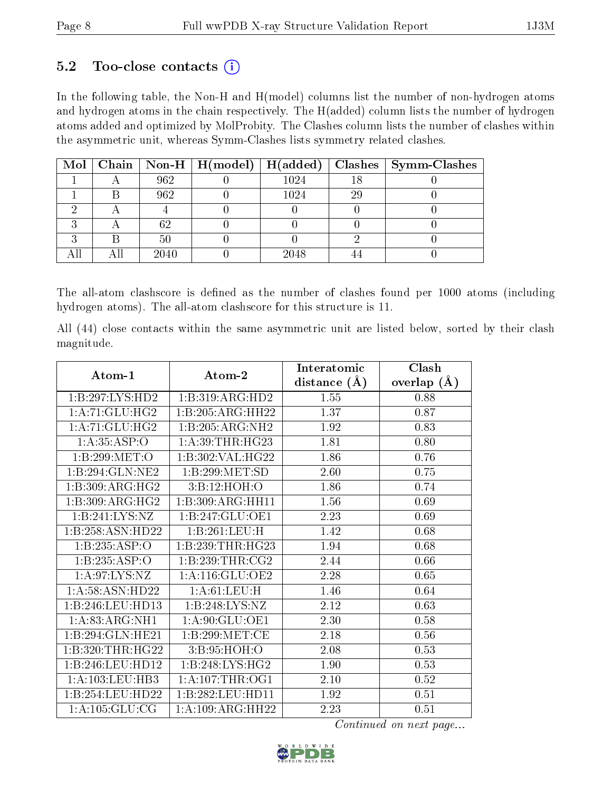#### $5.2$  Too-close contacts  $(i)$

In the following table, the Non-H and H(model) columns list the number of non-hydrogen atoms and hydrogen atoms in the chain respectively. The H(added) column lists the number of hydrogen atoms added and optimized by MolProbity. The Clashes column lists the number of clashes within the asymmetric unit, whereas Symm-Clashes lists symmetry related clashes.

|  |      |          |    | Mol   Chain   Non-H   H(model)   H(added)   Clashes   Symm-Clashes |
|--|------|----------|----|--------------------------------------------------------------------|
|  | 962  | 1024     |    |                                                                    |
|  | 962  | $1024\,$ | 29 |                                                                    |
|  |      |          |    |                                                                    |
|  | 62   |          |    |                                                                    |
|  | 50   |          |    |                                                                    |
|  | 2040 | 2048     |    |                                                                    |

The all-atom clashscore is defined as the number of clashes found per 1000 atoms (including hydrogen atoms). The all-atom clashscore for this structure is 11.

All (44) close contacts within the same asymmetric unit are listed below, sorted by their clash magnitude.

| Atom-1             | $\boldsymbol{\mathrm{Atom}\text{-}2}$ | Interatomic    | Clash          |  |
|--------------------|---------------------------------------|----------------|----------------|--|
|                    |                                       | distance $(A)$ | (A)<br>overlap |  |
| 1:B:297:LYS:HD2    | 1:B:319:ARG:HD2                       | 1.55           | 0.88           |  |
| 1: A:71: GLU: HG2  | 1:B:205:ARG:HH22                      | 1.37           | 0.87           |  |
| 1: A:71: GLU: HG2  | 1:B:205:ARG:NH2                       | 1.92           | 0.83           |  |
| 1: A: 35: ASP:O    | 1: A:39:THR:HG23                      | 1.81           | 0.80           |  |
| 1:B:299:MET:O      | 1:B:302:VAL:HG22                      | 1.86           | 0.76           |  |
| 1:B:294:GLN:NE2    | 1:B:299:MET:SD                        | 2.60           | 0.75           |  |
| 1: B:309: ARG: HG2 | 3:B:12:HOH:O                          | 1.86           | 0.74           |  |
| 1:B:309:ARG:HG2    | 1:B:309:ARG:HH11                      | 1.56           | 0.69           |  |
| 1:B:241:LYS:NZ     | 1:B:247:GLU:OE1                       | 2.23           | 0.69           |  |
| 1:B:258:ASN:HD22   | 1:B:261:LEU:H                         | 1.42           | 0.68           |  |
| 1:B:235:ASP:O      | 1:B:239:THR:HG23                      | 1.94           | 0.68           |  |
| 1:B:235:ASP:O      | 1:B:239:THR:CG2                       | 2.44           | 0.66           |  |
| 1: A:97: LYS: NZ   | 1: A:116: GLU:OE2                     | 2.28           | 0.65           |  |
| 1: A:58: ASN:HD22  | 1: A:61:LEU:H                         | 1.46           | 0.64           |  |
| 1:B:246:LEU:HD13   | 1: B: 248: LYS: NZ                    | 2.12           | 0.63           |  |
| 1: A:83:ARG:NH1    | 1:A:90:GLU:OE1                        | 2.30           | 0.58           |  |
| 1:B:294:GLN:HE21   | 1: B:299:MET:CE                       | 2.18           | 0.56           |  |
| 1:B:320:THR:HG22   | 3:B:95:HOH:O                          | 2.08           | 0.53           |  |
| 1:B:246:LEU:HD12   | 1:B:248:LYS:HG2                       | 1.90           | 0.53           |  |
| 1:A:103:LEU:HB3    | 1: A:107:THR:OG1                      | 2.10           | 0.52           |  |
| 1:B:254:LEU:HD22   | 1:B:282:LEU:HD11                      | 1.92           | 0.51           |  |
| 1: A: 105: GLU: CG | 1:A:109:ARG:HH22                      | 2.23           | 0.51           |  |

Continued on next page...

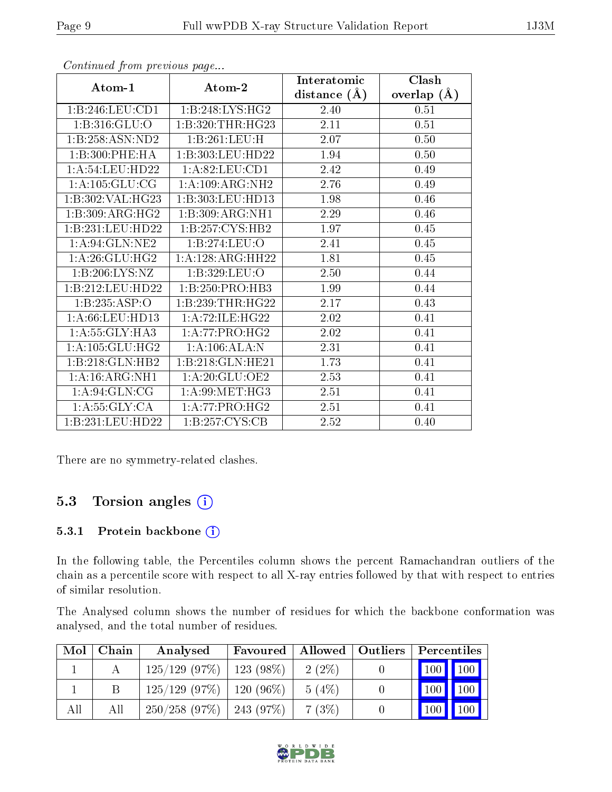|                             |                      | Interatomic    | Clash         |
|-----------------------------|----------------------|----------------|---------------|
| Atom-1                      | Atom-2               | distance $(A)$ | overlap $(A)$ |
| 1:B:246:LEU:CD1             | 1:B:248:LYS:HG2      | 2.40           | 0.51          |
| 1: B:316: GLU:O             | 1:B:320:THR:HG23     | $2.11\,$       | 0.51          |
| 1:B:258:ASN:ND2             | 1:B:261:LEU:H        | 2.07           | 0.50          |
| 1:B:300:PHE:HA              | 1:B:303:LEU:HD22     | 1.94           | 0.50          |
| 1: A:54:LEU:HD22            | 1: A:82:LEU:CD1      | 2.42           | 0.49          |
| 1:A:105:GLU:CG              | 1:A:109:ARG:NH2      | 2.76           | 0.49          |
| 1:B:302:VAL:HG23            | 1:B:303:LEU:HD13     | 1.98           | 0.46          |
| 1:B:309:ARG:HG2             | 1:B:309:ARG:NH1      | 2.29           | 0.46          |
| 1:B:231:LEU:HD22            | 1:B:257:CYS:HB2      | 1.97           | 0.45          |
| 1: A:94: GLN:NE2            | 1:B:274:LEU:O        | 2.41           | 0.45          |
| 1: A:26: GLU:HG2            | 1:A:128:ARG:HH22     | 1.81           | 0.45          |
| $1:B:206:LYS:\overline{NZ}$ | 1:B:329:LEU:O        | 2.50           | 0.44          |
| 1:B:212:LEU:HD22            | 1:B:250:PRO:HB3      | 1.99           | 0.44          |
| 1:B:235:ASP:O               | 1: B: 239: THR: HG22 | 2.17           | 0.43          |
| 1:A:66:LEU:HD13             | 1: A:72: ILE: HG22   | 2.02           | 0.41          |
| 1: A: 55: GLY: HA3          | 1: A:77: PRO:HG2     | 2.02           | 0.41          |
| 1: A: 105: GLU: HG2         | 1:A:106:ALA:N        | 2.31           | 0.41          |
| 1:B:218:GLN:HB2             | 1:B:218:GLN:HE21     | 1.73           | 0.41          |
| 1: A:16: ARG: NH1           | 1: A:20: GLU:OE2     | 2.53           | 0.41          |
| 1: A:94: GLN: CG            | 1: A:99:MET:HG3      | 2.51           | 0.41          |
| 1: A:55: GLY:CA             | 1: A:77: PRO:HG2     | 2.51           | 0.41          |
| 1:B:231:LEU:HD22            | 1: B: 257: CYS: CB   | 2.52           | 0.40          |

Continued from previous page...

There are no symmetry-related clashes.

#### 5.3 Torsion angles (i)

#### 5.3.1 Protein backbone (i)

In the following table, the Percentiles column shows the percent Ramachandran outliers of the chain as a percentile score with respect to all X-ray entries followed by that with respect to entries of similar resolution.

The Analysed column shows the number of residues for which the backbone conformation was analysed, and the total number of residues.

| Mol | Chain | Analysed                      | Favoured | Allowed  | $\vert$ Outliers | $\overline{\phantom{a}}$ Percentiles |             |
|-----|-------|-------------------------------|----------|----------|------------------|--------------------------------------|-------------|
|     |       | $125/129$ (97\%)   123 (98\%) |          | $2(2\%)$ |                  | $\boxed{100}$ $\boxed{100}$          |             |
|     |       | $125/129$ (97\%)   120 (96\%) |          | 5(4%)    |                  | $100 \mid$                           | $\vert$ 100 |
| All | All   | $250/258$ (97\%)   243 (97\%) |          | 7(3%)    |                  |                                      | 100         |

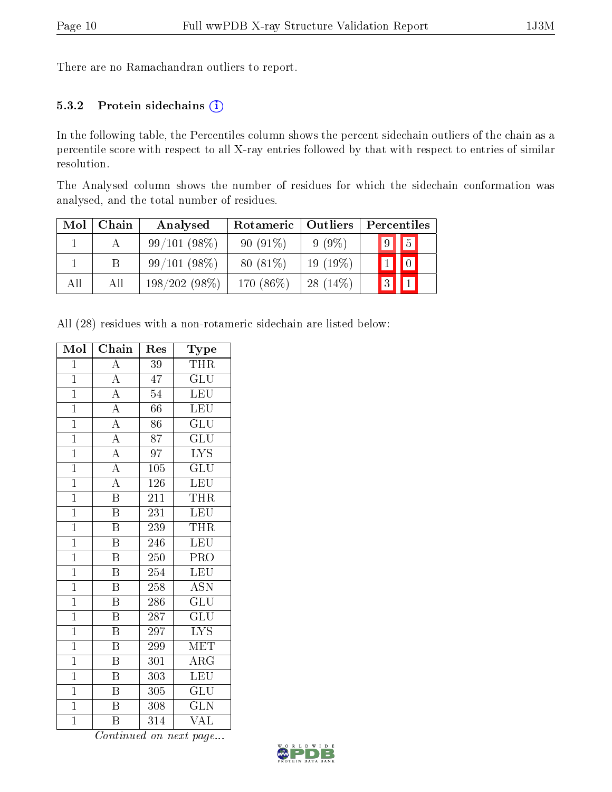There are no Ramachandran outliers to report.

#### 5.3.2 Protein sidechains  $(i)$

In the following table, the Percentiles column shows the percent sidechain outliers of the chain as a percentile score with respect to all X-ray entries followed by that with respect to entries of similar resolution.

The Analysed column shows the number of residues for which the sidechain conformation was analysed, and the total number of residues.

| Mol | Chain | Analysed        | Rotameric  | Outliers    | Percentiles                    |
|-----|-------|-----------------|------------|-------------|--------------------------------|
|     |       | 99/101(98%)     | $90(91\%)$ | $9(9\%)$    | $\sqrt{9}$   5                 |
|     |       | 99/101(98%)     | $80(81\%)$ | 19 $(19\%)$ | $\vert\vert\vert_0\vert$<br> 1 |
| All | Аll   | $198/202(98\%)$ | 170 (86%)  | $28(14\%)$  | 3                              |

All (28) residues with a non-rotameric sidechain are listed below:

| Mol            | Chain                     | $\operatorname{Res}% \left( \mathcal{N}\right) \equiv\operatorname{Res}(\mathcal{N}_{0})\cap\mathcal{N}_{1}$ | Type                      |
|----------------|---------------------------|--------------------------------------------------------------------------------------------------------------|---------------------------|
| $\overline{1}$ | $\overline{A}$            | $\overline{39}$                                                                                              | <b>THR</b>                |
| $\mathbf{1}$   | $\overline{\rm A}$        | 47                                                                                                           | GLU                       |
| $\overline{1}$ | $\overline{A}$            | $\overline{54}$                                                                                              | $\overline{\text{LEU}}$   |
| $\mathbf{1}$   | $\overline{A}$            | 66                                                                                                           | LEU                       |
| $\mathbf{1}$   | $\overline{A}$            | 86                                                                                                           | $\overline{\text{GLU}}$   |
| $\overline{1}$ | $\overline{A}$            | $\overline{87}$                                                                                              | $\overline{\mathrm{GLU}}$ |
| $\overline{1}$ | $\overline{A}$            | $\overline{97}$                                                                                              | $\overline{\text{LYS}}$   |
| $\overline{1}$ | $\overline{\rm A}$        | 105                                                                                                          | $\overline{\text{GLU}}$   |
| $\overline{1}$ | $\overline{\rm A}$        | 126                                                                                                          | <b>LEU</b>                |
| $\overline{1}$ | $\overline{\mathrm{B}}$   | 211                                                                                                          | <b>THR</b>                |
| $\overline{1}$ | $\overline{\mathrm{B}}$   | 231                                                                                                          | LEU                       |
| $\overline{1}$ | $\overline{\mathrm{B}}$   | 239                                                                                                          | <b>THR</b>                |
| $\overline{1}$ | $\overline{\mathrm{B}}$   | 246                                                                                                          | LEU                       |
| $\overline{1}$ | $\, {\bf B}$              | 250                                                                                                          | PRO                       |
| $\overline{1}$ | $\overline{\mathrm{B}}$   | $\overline{254}$                                                                                             | LEU                       |
| $\overline{1}$ | $\, {\bf B}$              | 258                                                                                                          | <b>ASN</b>                |
| $\overline{1}$ | $\overline{\mathrm{B}}$   | 286                                                                                                          | $\overline{\text{GLU}}$   |
| $\overline{1}$ | $\overline{\mathrm{B}}$   | 287                                                                                                          | $\overline{{\rm GLU}}$    |
| $\overline{1}$ | $\overline{\mathrm{B}}$   | 297                                                                                                          | $\overline{LYS}$          |
| $\overline{1}$ | $\overline{\mathrm{B}}$   | 299                                                                                                          | MET                       |
| $\mathbf{1}$   | $\overline{\mathrm{B}}$   | 301                                                                                                          | $\overline{\rm ARG}$      |
| $\mathbf{1}$   | $\overline{B}$            | 303                                                                                                          | $\overline{\text{LEU}}$   |
| $\overline{1}$ | $\boldsymbol{\mathrm{B}}$ | 305                                                                                                          | $\overline{\text{GLU}}$   |
| $\overline{1}$ | $\overline{\mathbf{B}}$   | 308                                                                                                          | <b>GLN</b>                |
| $\overline{1}$ | $\overline{\mathrm{B}}$   | 314                                                                                                          | $\overline{\text{VAL}}$   |

Continued on next page...

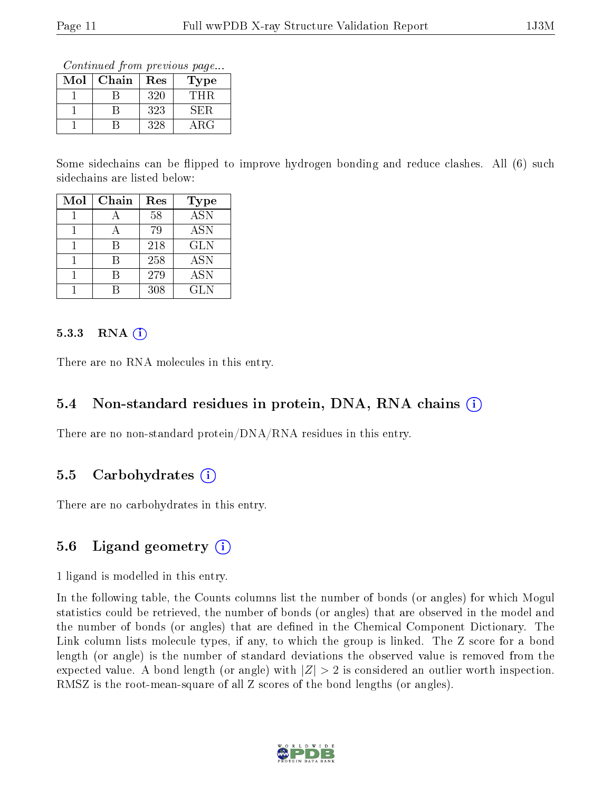Continued from previous page...

| Mol | Chain | Res | Type       |
|-----|-------|-----|------------|
|     |       | 320 | THR        |
|     |       | 323 | SER        |
|     |       | 328 | $\rm{ARG}$ |

Some sidechains can be flipped to improve hydrogen bonding and reduce clashes. All (6) such sidechains are listed below:

| Mol | Chain | Res | <b>Type</b>             |
|-----|-------|-----|-------------------------|
|     |       | 58  | $\overline{\text{ASN}}$ |
|     |       | 79  | <b>ASN</b>              |
|     |       | 218 | GLN                     |
|     |       | 258 | <b>ASN</b>              |
|     |       | 279 | <b>ASN</b>              |
|     |       | 308 | <b>GLN</b>              |

#### $5.3.3$  RNA  $(i)$

There are no RNA molecules in this entry.

#### 5.4 Non-standard residues in protein, DNA, RNA chains (i)

There are no non-standard protein/DNA/RNA residues in this entry.

#### 5.5 Carbohydrates  $(i)$

There are no carbohydrates in this entry.

### 5.6 Ligand geometry  $(i)$

1 ligand is modelled in this entry.

In the following table, the Counts columns list the number of bonds (or angles) for which Mogul statistics could be retrieved, the number of bonds (or angles) that are observed in the model and the number of bonds (or angles) that are defined in the Chemical Component Dictionary. The Link column lists molecule types, if any, to which the group is linked. The Z score for a bond length (or angle) is the number of standard deviations the observed value is removed from the expected value. A bond length (or angle) with  $|Z| > 2$  is considered an outlier worth inspection. RMSZ is the root-mean-square of all Z scores of the bond lengths (or angles).

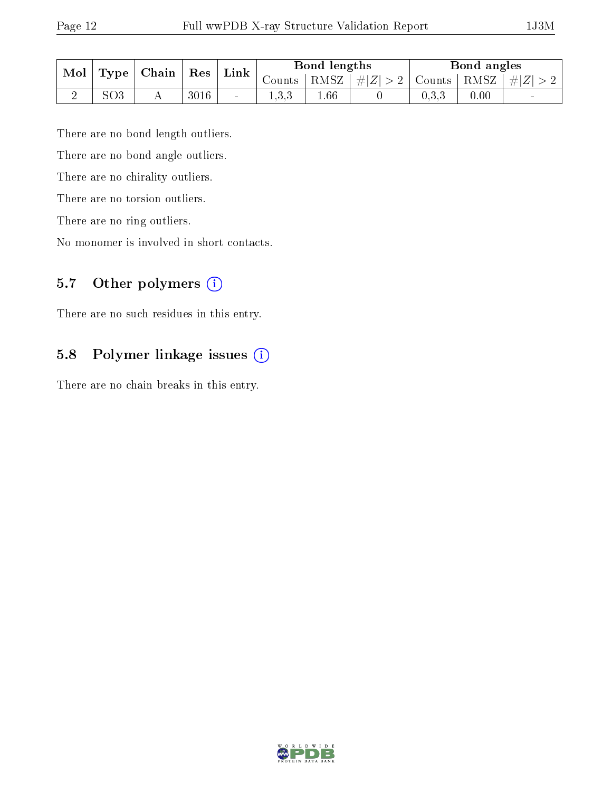| Mol | <b>Type</b>     | Chain | Res  | Link                     | Bond lengths |        |         | Bond angles               |      |         |
|-----|-----------------|-------|------|--------------------------|--------------|--------|---------|---------------------------|------|---------|
|     |                 |       |      |                          | Counts '     | ' RMSZ | $\# Z $ | $\mid$ Counts $\mid$ RMSZ |      | $\# Z $ |
|     | SO <sub>3</sub> |       | 3016 | $\overline{\phantom{a}}$ | 1.U.U        | .66    |         | $\rm 0.3.3$               | 0.00 | $\sim$  |

There are no bond length outliers.

There are no bond angle outliers.

There are no chirality outliers.

There are no torsion outliers.

There are no ring outliers.

No monomer is involved in short contacts.

### 5.7 [O](https://www.wwpdb.org/validation/2017/XrayValidationReportHelp#nonstandard_residues_and_ligands)ther polymers (i)

There are no such residues in this entry.

### 5.8 Polymer linkage issues (i)

There are no chain breaks in this entry.